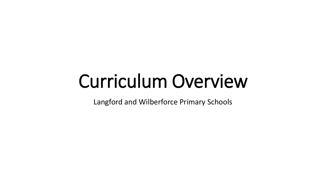# Curriculum Overview

Langford and Wilberforce Primary Schools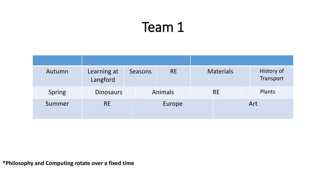| Autumn | Learning at<br>Langford | Seasons | <b>RE</b>      | <b>Materials</b> | History of<br>Transport |
|--------|-------------------------|---------|----------------|------------------|-------------------------|
| Spring | <b>Dinosaurs</b>        |         | <b>Animals</b> | <b>RE</b>        | Plants                  |
| Summer | <b>RE</b>               |         |                |                  | Art                     |

**\*Philosophy and Computing rotate over a fixed time**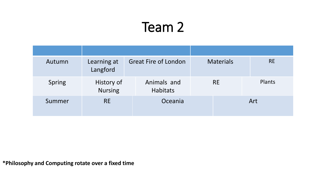| Autumn | Learning at<br>Langford      | <b>Great Fire of London</b>    | <b>Materials</b> | <b>RE</b> |
|--------|------------------------------|--------------------------------|------------------|-----------|
| Spring | History of<br><b>Nursing</b> | Animals and<br><b>Habitats</b> | <b>RE</b>        | Plants    |
| Summer | <b>RE</b>                    | Oceania                        |                  | Art       |

**\*Philosophy and Computing rotate over a fixed time**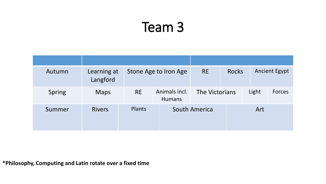| Autumn | Learning at<br>Langford |           | Stone Age to Iron Age          | <b>RE</b>      | <b>Rocks</b> |       | <b>Ancient Egypt</b> |
|--------|-------------------------|-----------|--------------------------------|----------------|--------------|-------|----------------------|
| Spring | <b>Maps</b>             | <b>RE</b> | Animals incl.<br><b>Humans</b> | The Victorians |              | Light | <b>Forces</b>        |
| Summer | <b>Rivers</b>           | Plants    |                                | South America  |              | Art   |                      |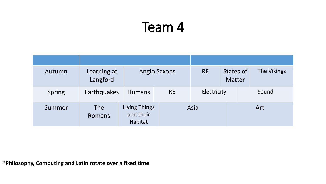| Autumn | Learning at<br>Langford | <b>Anglo Saxons</b>                          |           | <b>RE</b><br>States of<br><b>Matter</b> |     | The Vikings |  |
|--------|-------------------------|----------------------------------------------|-----------|-----------------------------------------|-----|-------------|--|
| Spring | Earthquakes             | <b>Humans</b>                                | <b>RE</b> | Electricity                             |     | Sound       |  |
| Summer | <b>The</b><br>Romans    | <b>Living Things</b><br>and their<br>Habitat | Asia      |                                         | Art |             |  |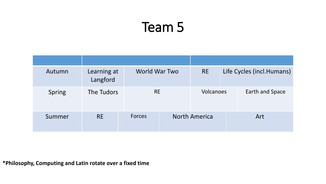| Autumn        | Learning at<br>Langford | World War Two | <b>RE</b>            |  | Life Cycles (incl.Humans) |
|---------------|-------------------------|---------------|----------------------|--|---------------------------|
| <b>Spring</b> | The Tudors              | <b>RE</b>     | Volcanoes            |  | Earth and Space           |
| Summer        | <b>RE</b>               | <b>Forces</b> | <b>North America</b> |  | Art                       |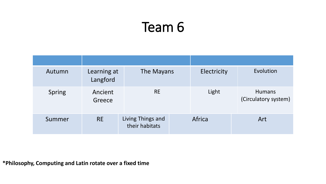| Autumn        | Learning at<br>Langford | The Mayans                          | Electricity | Evolution                             |
|---------------|-------------------------|-------------------------------------|-------------|---------------------------------------|
| <b>Spring</b> | Ancient<br>Greece       | <b>RE</b>                           | Light       | <b>Humans</b><br>(Circulatory system) |
| Summer        | <b>RE</b>               | Living Things and<br>their habitats | Africa      | Art                                   |